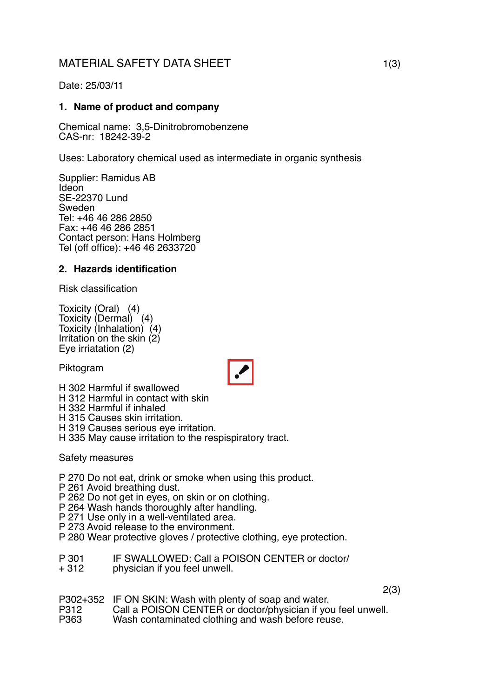# MATERIAL SAFETY DATA SHEET 1(3)

Date: 25/03/11

### **1. Name of product and company**

Chemical name: 3,5-Dinitrobromobenzene CAS-nr: 18242-39-2

Uses: Laboratory chemical used as intermediate in organic synthesis

Supplier: Ramidus AB Ideon SE-22370 Lund Sweden Tel: +46 46 286 2850 Fax: +46 46 286 2851 Contact person: Hans Holmberg Tel (off office): +46 46 2633720

#### **2. Hazards identification**

Risk classification

Toxicity (Oral) (4) Toxicity (Dermal) (4) Toxicity (Inhalation) (4) Irritation on the skin (2) Eye irriatation (2)

Piktogram



H 302 Harmful if swallowed

H 312 Harmful in contact with skin

H 332 Harmful if inhaled

H 315 Causes skin irritation.

H 319 Causes serious eye irritation.

H 335 May cause irritation to the respispiratory tract.

Safety measures

P 270 Do not eat, drink or smoke when using this product.

P 261 Avoid breathing dust.

P 262 Do not get in eyes, on skin or on clothing.

P 264 Wash hands thoroughly after handling.

P 271 Use only in a well-ventilated area.

P 273 Avoid release to the environment.

P 280 Wear protective gloves / protective clothing, eye protection.

P 301 IF SWALLOWED: Call a POISON CENTER or doctor/<br>+ 312 physician if you feel unwell

physician if you feel unwell.

2(3)

P302+352 IF ON SKIN: Wash with plenty of soap and water.<br>P312 Call a POISON CENTER or doctor/physician if yo

P312 Call a POISON CENTER or doctor/physician if you feel unwell.<br>P363 Wash contaminated clothing and wash before reuse.

Wash contaminated clothing and wash before reuse.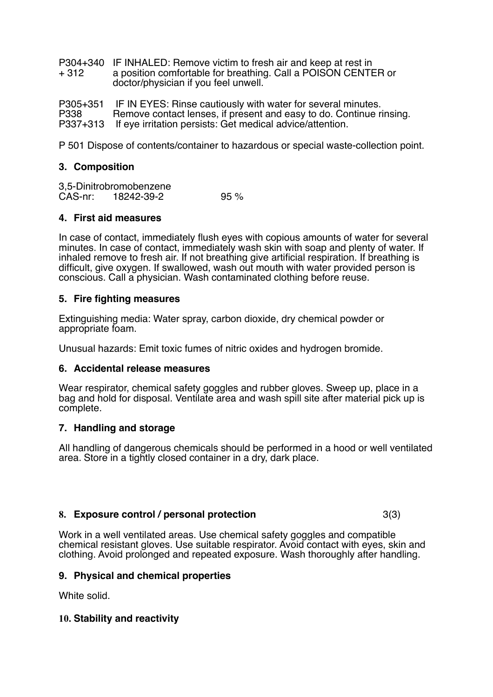P304+340 IF INHALED: Remove victim to fresh air and keep at rest in<br>+ 312 a position comfortable for breathing. Call a POISON CENTE a position comfortable for breathing. Call a POISON CENTER or doctor/physician if you feel unwell.

P305+351 IF IN EYES: Rinse cautiously with water for several minutes.<br>P338 Bemove contact lenses if present and easy to do. Continue r Remove contact lenses, if present and easy to do. Continue rinsing. P337+313 If eye irritation persists: Get medical advice/attention.

P 501 Dispose of contents/container to hazardous or special waste-collection point.

#### **3. Composition**

3,5-Dinitrobromobenzene<br>CAS-nr: 18242-39-2 18242-39-2 95 %

#### **4. First aid measures**

In case of contact, immediately flush eyes with copious amounts of water for several minutes. In case of contact, immediately wash skin with soap and plenty of water. If inhaled remove to fresh air. If not breathing give artificial respiration. If breathing is difficult, give oxygen. If swallowed, wash out mouth with water provided person is conscious. Call a physician. Wash contaminated clothing before reuse.

#### **5. Fire fighting measures**

Extinguishing media: Water spray, carbon dioxide, dry chemical powder or appropriate foam.

Unusual hazards: Emit toxic fumes of nitric oxides and hydrogen bromide.

#### **6. Accidental release measures**

Wear respirator, chemical safety goggles and rubber gloves. Sweep up, place in a bag and hold for disposal. Ventilate area and wash spill site after material pick up is complete.

#### **7. Handling and storage**

All handling of dangerous chemicals should be performed in a hood or well ventilated area. Store in a tightly closed container in a dry, dark place.

#### **8. Exposure control / personal protection** 3(3)

Work in a well ventilated areas. Use chemical safety goggles and compatible chemical resistant gloves. Use suitable respirator. Avoid contact with eyes, skin and clothing. Avoid prolonged and repeated exposure. Wash thoroughly after handling.

#### **9. Physical and chemical properties**

White solid

#### **10. Stability and reactivity**